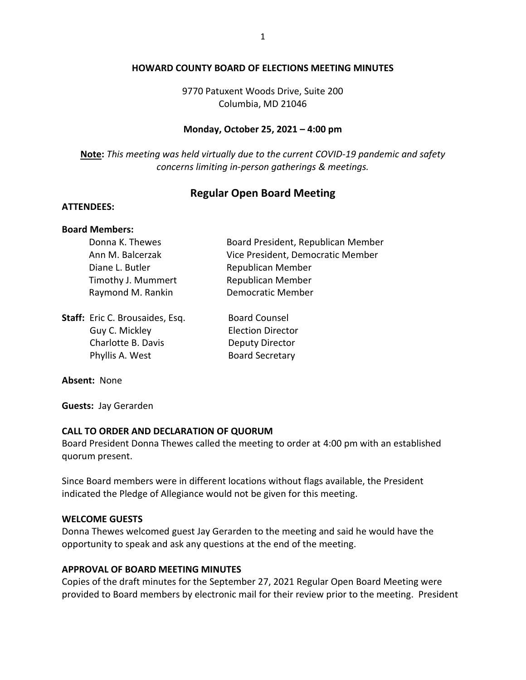### **HOWARD COUNTY BOARD OF ELECTIONS MEETING MINUTES**

9770 Patuxent Woods Drive, Suite 200 Columbia, MD 21046

### **Monday, October 25, 2021 – 4:00 pm**

**Note:** *This meeting was held virtually due to the current COVID-19 pandemic and safety concerns limiting in-person gatherings & meetings.*

# **Regular Open Board Meeting**

#### **ATTENDEES:**

### **Board Members:**

| Donna K. Thewes    | Board President, Republican Member |
|--------------------|------------------------------------|
| Ann M. Balcerzak   | Vice President, Democratic Member  |
| Diane L. Butler    | Republican Member                  |
| Timothy J. Mummert | Republican Member                  |
| Raymond M. Rankin  | <b>Democratic Member</b>           |
|                    |                                    |
|                    |                                    |

| Staff: Eric C. Brousaides, Esq. | <b>Board Counsel</b>     |
|---------------------------------|--------------------------|
| Guy C. Mickley                  | <b>Election Director</b> |
| Charlotte B. Davis              | <b>Deputy Director</b>   |
| Phyllis A. West                 | <b>Board Secretary</b>   |

#### **Absent:** None

**Guests:** Jay Gerarden

### **CALL TO ORDER AND DECLARATION OF QUORUM**

Board President Donna Thewes called the meeting to order at 4:00 pm with an established quorum present.

Since Board members were in different locations without flags available, the President indicated the Pledge of Allegiance would not be given for this meeting.

#### **WELCOME GUESTS**

Donna Thewes welcomed guest Jay Gerarden to the meeting and said he would have the opportunity to speak and ask any questions at the end of the meeting.

### **APPROVAL OF BOARD MEETING MINUTES**

Copies of the draft minutes for the September 27, 2021 Regular Open Board Meeting were provided to Board members by electronic mail for their review prior to the meeting. President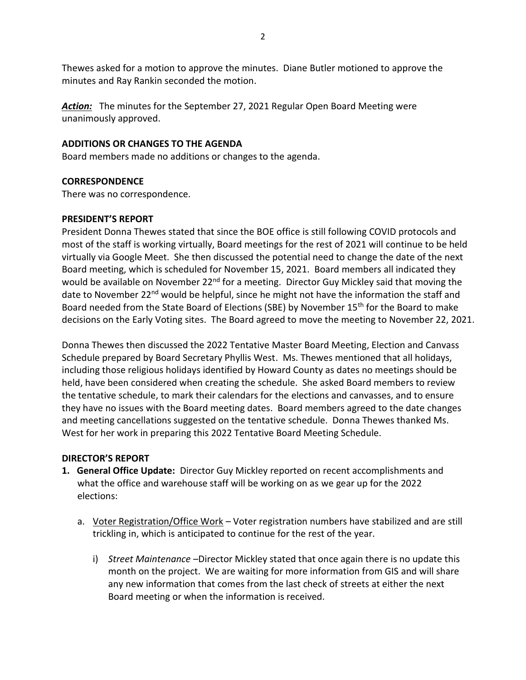Thewes asked for a motion to approve the minutes. Diane Butler motioned to approve the minutes and Ray Rankin seconded the motion.

*Action:* The minutes for the September 27, 2021 Regular Open Board Meeting were unanimously approved.

# **ADDITIONS OR CHANGES TO THE AGENDA**

Board members made no additions or changes to the agenda.

## **CORRESPONDENCE**

There was no correspondence.

## **PRESIDENT'S REPORT**

President Donna Thewes stated that since the BOE office is still following COVID protocols and most of the staff is working virtually, Board meetings for the rest of 2021 will continue to be held virtually via Google Meet. She then discussed the potential need to change the date of the next Board meeting, which is scheduled for November 15, 2021. Board members all indicated they would be available on November 22<sup>nd</sup> for a meeting. Director Guy Mickley said that moving the date to November 22<sup>nd</sup> would be helpful, since he might not have the information the staff and Board needed from the State Board of Elections (SBE) by November 15<sup>th</sup> for the Board to make decisions on the Early Voting sites. The Board agreed to move the meeting to November 22, 2021.

Donna Thewes then discussed the 2022 Tentative Master Board Meeting, Election and Canvass Schedule prepared by Board Secretary Phyllis West. Ms. Thewes mentioned that all holidays, including those religious holidays identified by Howard County as dates no meetings should be held, have been considered when creating the schedule. She asked Board members to review the tentative schedule, to mark their calendars for the elections and canvasses, and to ensure they have no issues with the Board meeting dates. Board members agreed to the date changes and meeting cancellations suggested on the tentative schedule. Donna Thewes thanked Ms. West for her work in preparing this 2022 Tentative Board Meeting Schedule.

### **DIRECTOR'S REPORT**

- **1. General Office Update:** Director Guy Mickley reported on recent accomplishments and what the office and warehouse staff will be working on as we gear up for the 2022 elections:
	- a. Voter Registration/Office Work Voter registration numbers have stabilized and are still trickling in, which is anticipated to continue for the rest of the year.
		- i) *Street Maintenance* –Director Mickley stated that once again there is no update this month on the project. We are waiting for more information from GIS and will share any new information that comes from the last check of streets at either the next Board meeting or when the information is received.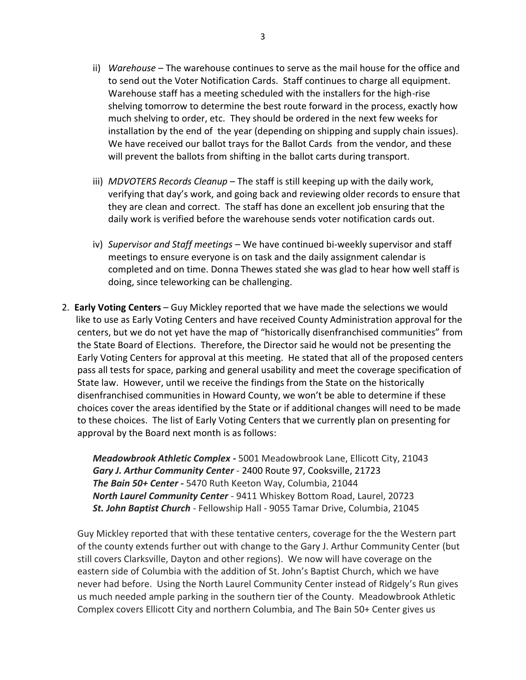- ii) *Warehouse* The warehouse continues to serve as the mail house for the office and to send out the Voter Notification Cards. Staff continues to charge all equipment. Warehouse staff has a meeting scheduled with the installers for the high-rise shelving tomorrow to determine the best route forward in the process, exactly how much shelving to order, etc. They should be ordered in the next few weeks for installation by the end of the year (depending on shipping and supply chain issues). We have received our ballot trays for the Ballot Cards from the vendor, and these will prevent the ballots from shifting in the ballot carts during transport.
- iii) *MDVOTERS Records Cleanup* The staff is still keeping up with the daily work, verifying that day's work, and going back and reviewing older records to ensure that they are clean and correct. The staff has done an excellent job ensuring that the daily work is verified before the warehouse sends voter notification cards out.
- iv) *Supervisor and Staff meetings*  We have continued bi*-*weekly supervisor and staff meetings to ensure everyone is on task and the daily assignment calendar is completed and on time. Donna Thewes stated she was glad to hear how well staff is doing, since teleworking can be challenging.
- 2. **Early Voting Centers** Guy Mickley reported that we have made the selections we would like to use as Early Voting Centers and have received County Administration approval for the centers, but we do not yet have the map of "historically disenfranchised communities" from the State Board of Elections. Therefore, the Director said he would not be presenting the Early Voting Centers for approval at this meeting. He stated that all of the proposed centers pass all tests for space, parking and general usability and meet the coverage specification of State law. However, until we receive the findings from the State on the historically disenfranchised communities in Howard County, we won't be able to determine if these choices cover the areas identified by the State or if additional changes will need to be made to these choices. The list of Early Voting Centers that we currently plan on presenting for approval by the Board next month is as follows:

*Meadowbrook Athletic Complex -* 5001 Meadowbrook Lane, Ellicott City, 21043 *Gary J. Arthur Community Center* - 2400 Route 97, Cooksville, 21723 *The Bain 50+ Center -* 5470 Ruth Keeton Way, Columbia, 21044 *North Laurel Community Center* - 9411 Whiskey Bottom Road, Laurel, 20723 *St. John Baptist Church* - Fellowship Hall - 9055 Tamar Drive, Columbia, 21045

Guy Mickley reported that with these tentative centers, coverage for the the Western part of the county extends further out with change to the Gary J. Arthur Community Center (but still covers Clarksville, Dayton and other regions). We now will have coverage on the eastern side of Columbia with the addition of St. John's Baptist Church, which we have never had before. Using the North Laurel Community Center instead of Ridgely's Run gives us much needed ample parking in the southern tier of the County. Meadowbrook Athletic Complex covers Ellicott City and northern Columbia, and The Bain 50+ Center gives us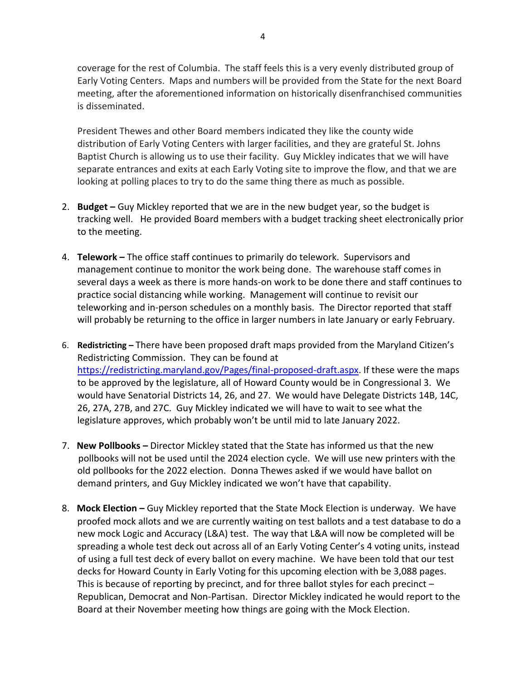coverage for the rest of Columbia. The staff feels this is a very evenly distributed group of Early Voting Centers. Maps and numbers will be provided from the State for the next Board meeting, after the aforementioned information on historically disenfranchised communities is disseminated.

President Thewes and other Board members indicated they like the county wide distribution of Early Voting Centers with larger facilities, and they are grateful St. Johns Baptist Church is allowing us to use their facility. Guy Mickley indicates that we will have separate entrances and exits at each Early Voting site to improve the flow, and that we are looking at polling places to try to do the same thing there as much as possible.

- 2. **Budget –** Guy Mickley reported that we are in the new budget year, so the budget is tracking well. He provided Board members with a budget tracking sheet electronically prior to the meeting.
- 4. **Telework –** The office staff continues to primarily do telework. Supervisors and management continue to monitor the work being done. The warehouse staff comes in several days a week as there is more hands-on work to be done there and staff continues to practice social distancing while working. Management will continue to revisit our teleworking and in-person schedules on a monthly basis. The Director reported that staff will probably be returning to the office in larger numbers in late January or early February.
- 6. **Redistricting –** There have been proposed draft maps provided from the Maryland Citizen's Redistricting Commission. They can be found at [https://redistricting.maryland.gov/Pages/final-proposed-draft.aspx.](https://redistricting.maryland.gov/Pages/final-proposed-draft.aspx) If these were the maps to be approved by the legislature, all of Howard County would be in Congressional 3. We would have Senatorial Districts 14, 26, and 27. We would have Delegate Districts 14B, 14C, 26, 27A, 27B, and 27C. Guy Mickley indicated we will have to wait to see what the legislature approves, which probably won't be until mid to late January 2022.
- 7. **New Pollbooks –** Director Mickley stated that the State has informed us that the new pollbooks will not be used until the 2024 election cycle. We will use new printers with the old pollbooks for the 2022 election. Donna Thewes asked if we would have ballot on demand printers, and Guy Mickley indicated we won't have that capability.
- 8. **Mock Election –** Guy Mickley reported that the State Mock Election is underway. We have proofed mock allots and we are currently waiting on test ballots and a test database to do a new mock Logic and Accuracy (L&A) test. The way that L&A will now be completed will be spreading a whole test deck out across all of an Early Voting Center's 4 voting units, instead of using a full test deck of every ballot on every machine. We have been told that our test decks for Howard County in Early Voting for this upcoming election with be 3,088 pages. This is because of reporting by precinct, and for three ballot styles for each precinct – Republican, Democrat and Non-Partisan. Director Mickley indicated he would report to the Board at their November meeting how things are going with the Mock Election.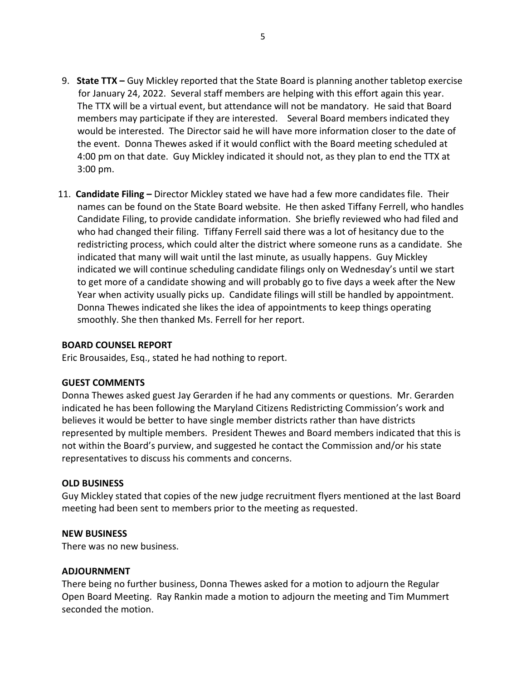- 9. **State TTX –** Guy Mickley reported that the State Board is planning another tabletop exercise for January 24, 2022. Several staff members are helping with this effort again this year. The TTX will be a virtual event, but attendance will not be mandatory. He said that Board members may participate if they are interested. Several Board members indicated they would be interested. The Director said he will have more information closer to the date of the event. Donna Thewes asked if it would conflict with the Board meeting scheduled at 4:00 pm on that date. Guy Mickley indicated it should not, as they plan to end the TTX at 3:00 pm.
- 11. **Candidate Filing –** Director Mickley stated we have had a few more candidates file. Their names can be found on the State Board website. He then asked Tiffany Ferrell, who handles Candidate Filing, to provide candidate information. She briefly reviewed who had filed and who had changed their filing. Tiffany Ferrell said there was a lot of hesitancy due to the redistricting process, which could alter the district where someone runs as a candidate. She indicated that many will wait until the last minute, as usually happens. Guy Mickley indicated we will continue scheduling candidate filings only on Wednesday's until we start to get more of a candidate showing and will probably go to five days a week after the New Year when activity usually picks up. Candidate filings will still be handled by appointment. Donna Thewes indicated she likes the idea of appointments to keep things operating smoothly. She then thanked Ms. Ferrell for her report.

### **BOARD COUNSEL REPORT**

Eric Brousaides, Esq., stated he had nothing to report.

### **GUEST COMMENTS**

Donna Thewes asked guest Jay Gerarden if he had any comments or questions. Mr. Gerarden indicated he has been following the Maryland Citizens Redistricting Commission's work and believes it would be better to have single member districts rather than have districts represented by multiple members. President Thewes and Board members indicated that this is not within the Board's purview, and suggested he contact the Commission and/or his state representatives to discuss his comments and concerns.

### **OLD BUSINESS**

Guy Mickley stated that copies of the new judge recruitment flyers mentioned at the last Board meeting had been sent to members prior to the meeting as requested.

### **NEW BUSINESS**

There was no new business.

### **ADJOURNMENT**

There being no further business, Donna Thewes asked for a motion to adjourn the Regular Open Board Meeting. Ray Rankin made a motion to adjourn the meeting and Tim Mummert seconded the motion.